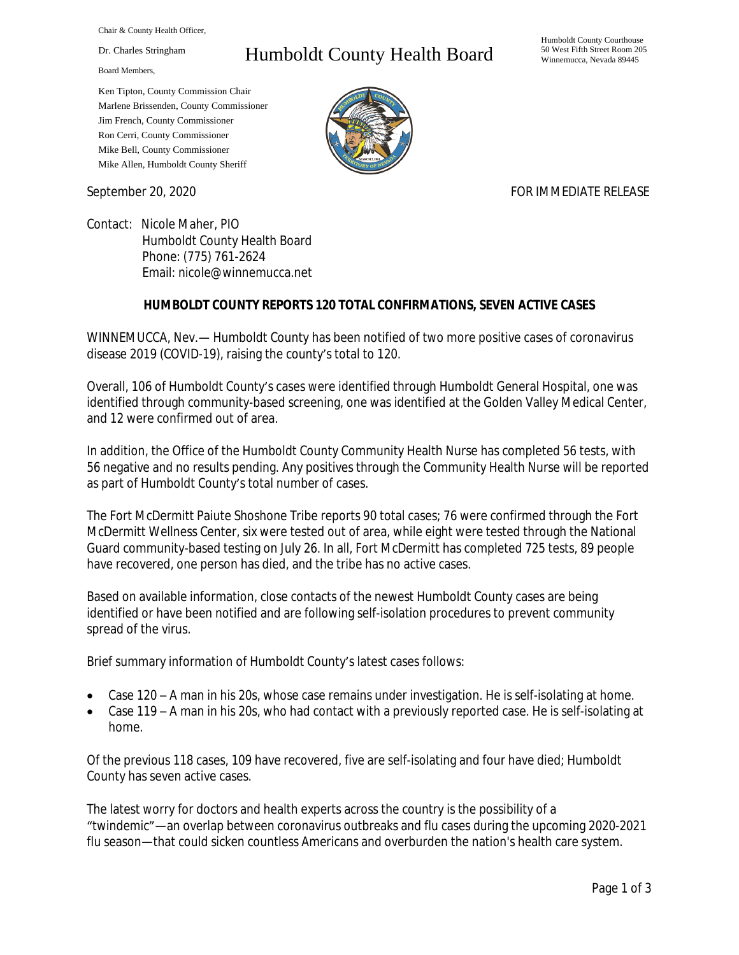Chair & County Health Officer,

Dr. Charles Stringham

Board Members,

## Humboldt County Health Board

Humboldt County Courthouse 50 West Fifth Street Room 205 Winnemucca, Nevada 89445

Ken Tipton, County Commission Chair Marlene Brissenden, County Commissioner Jim French, County Commissioner Ron Cerri, County Commissioner Mike Bell, County Commissioner Mike Allen, Humboldt County Sheriff

September 20, 2020 FOR IMMEDIATE RELEASE

Contact: Nicole Maher, PIO Humboldt County Health Board Phone: (775) 761-2624 Email: nicole@winnemucca.net

## **HUMBOLDT COUNTY REPORTS 120 TOTAL CONFIRMATIONS, SEVEN ACTIVE CASES**

WINNEMUCCA, Nev.— Humboldt County has been notified of two more positive cases of coronavirus disease 2019 (COVID-19), raising the county's total to 120.

Overall, 106 of Humboldt County's cases were identified through Humboldt General Hospital, one was identified through community-based screening, one was identified at the Golden Valley Medical Center, and 12 were confirmed out of area.

In addition, the Office of the Humboldt County Community Health Nurse has completed 56 tests, with 56 negative and no results pending. Any positives through the Community Health Nurse will be reported as part of Humboldt County's total number of cases.

The Fort McDermitt Paiute Shoshone Tribe reports 90 total cases; 76 were confirmed through the Fort McDermitt Wellness Center, six were tested out of area, while eight were tested through the National Guard community-based testing on July 26. In all, Fort McDermitt has completed 725 tests, 89 people have recovered, one person has died, and the tribe has no active cases.

Based on available information, close contacts of the newest Humboldt County cases are being identified or have been notified and are following self-isolation procedures to prevent community spread of the virus.

Brief summary information of Humboldt County's latest cases follows:

- Case 120 A man in his 20s, whose case remains under investigation. He is self-isolating at home.
- Case 119 A man in his 20s, who had contact with a previously reported case. He is self-isolating at home.

Of the previous 118 cases, 109 have recovered, five are self-isolating and four have died; Humboldt County has seven active cases.

The latest worry for doctors and health experts across the country is the possibility of a "twindemic"—an overlap between coronavirus outbreaks and flu cases during the upcoming 2020-2021 flu season—that could sicken countless Americans and overburden the nation's health care system.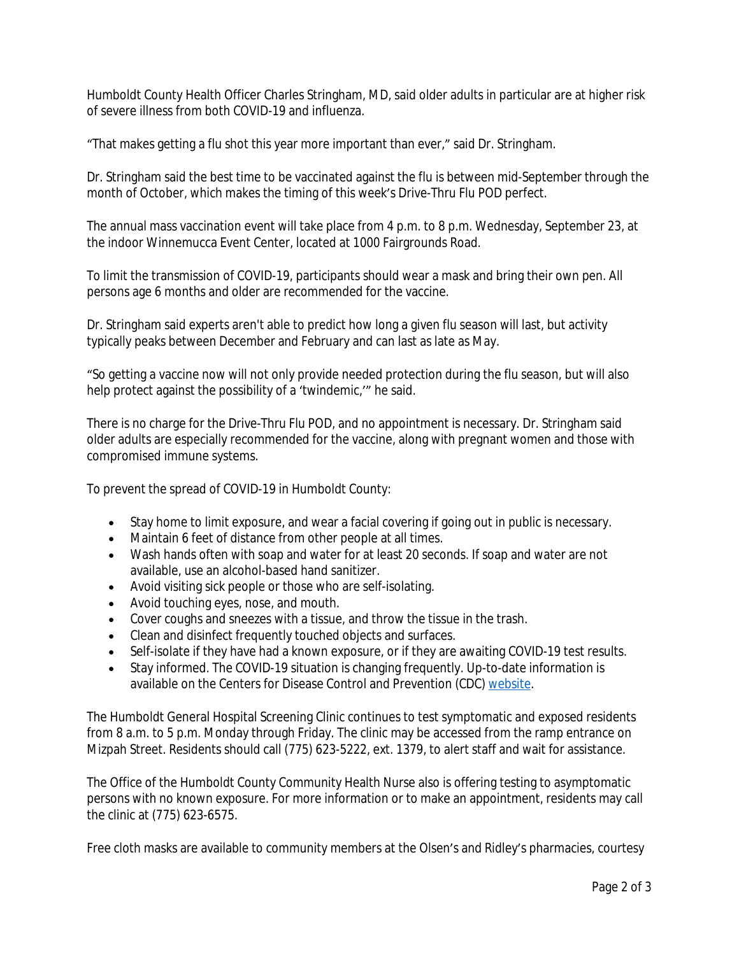Humboldt County Health Officer Charles Stringham, MD, said older adults in particular are at higher risk of severe illness from both COVID-19 and influenza.

"That makes getting a flu shot this year more important than ever," said Dr. Stringham.

Dr. Stringham said the best time to be vaccinated against the flu is between mid-September through the month of October, which makes the timing of this week's Drive-Thru Flu POD perfect.

The annual mass vaccination event will take place from 4 p.m. to 8 p.m. Wednesday, September 23, at the indoor Winnemucca Event Center, located at 1000 Fairgrounds Road.

To limit the transmission of COVID-19, participants should wear a mask and bring their own pen. All persons age 6 months and older are recommended for the vaccine.

Dr. Stringham said experts aren't able to predict how long a given flu season will last, but activity typically peaks between December and February and can last as late as May.

"So getting a vaccine now will not only provide needed protection during the flu season, but will also help protect against the possibility of a 'twindemic,'" he said.

There is no charge for the Drive-Thru Flu POD, and no appointment is necessary. Dr. Stringham said older adults are especially recommended for the vaccine, along with pregnant women and those with compromised immune systems.

To prevent the spread of COVID-19 in Humboldt County:

- Stay home to limit exposure, and wear a facial covering if going out in public is necessary.
- Maintain 6 feet of distance from other people at all times.
- Wash hands often with soap and water for at least 20 seconds. If soap and water are not available, use an alcohol-based hand sanitizer.
- Avoid visiting sick people or those who are self-isolating.
- Avoid touching eyes, nose, and mouth.
- Cover coughs and sneezes with a tissue, and throw the tissue in the trash.
- Clean and disinfect frequently touched objects and surfaces.
- Self-isolate if they have had a known exposure, or if they are awaiting COVID-19 test results.
- Stay informed. The COVID-19 situation is changing frequently. Up-to-date information is available on the Centers for Disease Control and Prevention (CDC) [website.](http://www.cdc.gov/coronavirus/2019-ncov/index.html)

The Humboldt General Hospital Screening Clinic continues to test symptomatic and exposed residents from 8 a.m. to 5 p.m. Monday through Friday. The clinic may be accessed from the ramp entrance on Mizpah Street. Residents should call (775) 623-5222, ext. 1379, to alert staff and wait for assistance.

The Office of the Humboldt County Community Health Nurse also is offering testing to asymptomatic persons with no known exposure. For more information or to make an appointment, residents may call the clinic at (775) 623-6575.

Free cloth masks are available to community members at the Olsen's and Ridley's pharmacies, courtesy